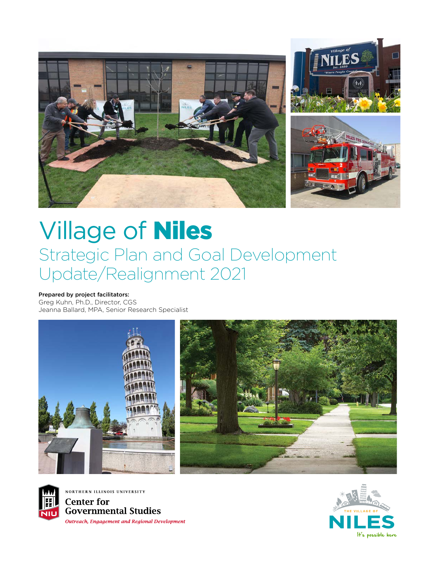

# Village of Niles Strategic Plan and Goal Development Update/Realignment 2021

#### Prepared by project facilitators:

Greg Kuhn, Ph.D., Director, CGS Jeanna Ballard, MPA, Senior Research Specialist





NORTHERN ILLINOIS UNIVERSITY **Center for Governmental Studies Outreach, Engagement and Regional Development** 

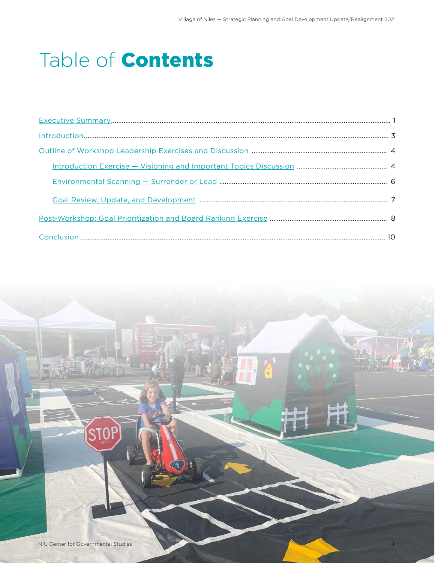# Table of Contents

| $Introduction 3 5 5 6 7 7 8 9 1 1 1 1 1 1 1 1 1 1 1 1 1 1 1 1 1 1 1 1 1 1 1$ |  |
|------------------------------------------------------------------------------|--|
|                                                                              |  |
|                                                                              |  |
|                                                                              |  |
|                                                                              |  |
|                                                                              |  |
|                                                                              |  |

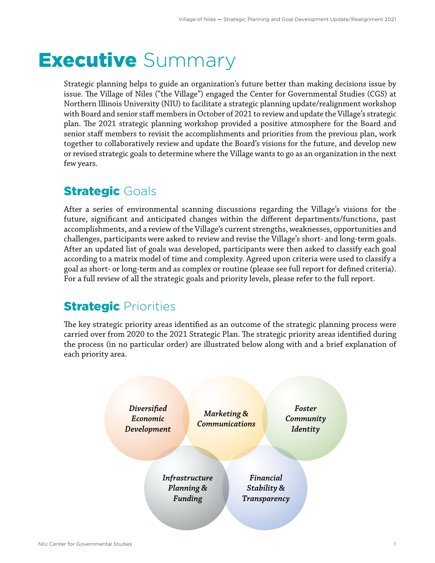# <span id="page-2-0"></span>**Executive** Summary

Strategic planning helps to guide an organization's future better than making decisions issue by issue. The Village of Niles ("the Village") engaged the Center for Governmental Studies (CGS) at Northern Illinois University (NIU) to facilitate a strategic planning update/realignment workshop with Board and senior staff members in October of 2021 to review and update the Village's strategic plan. The 2021 strategic planning workshop provided a positive atmosphere for the Board and senior staff members to revisit the accomplishments and priorities from the previous plan, work together to collaboratively review and update the Board's visions for the future, and develop new or revised strategic goals to determine where the Village wants to go as an organization in the next few years.

## **Strategic Goals**

After a series of environmental scanning discussions regarding the Village's visions for the future, significant and anticipated changes within the different departments/functions, past accomplishments, and a review of the Village's current strengths, weaknesses, opportunities and challenges, participants were asked to review and revise the Village's short- and long-term goals. After an updated list of goals was developed, participants were then asked to classify each goal according to a matrix model of time and complexity. Agreed upon criteria were used to classify a goal as short- or long-term and as complex or routine (please see full report for defined criteria). For a full review of all the strategic goals and priority levels, please refer to the full report.

## **Strategic Priorities**

The key strategic priority areas identified as an outcome of the strategic planning process were carried over from 2020 to the 2021 Strategic Plan. The strategic priority areas identified during the process (in no particular order) are illustrated below along with and a brief explanation of each priority area.

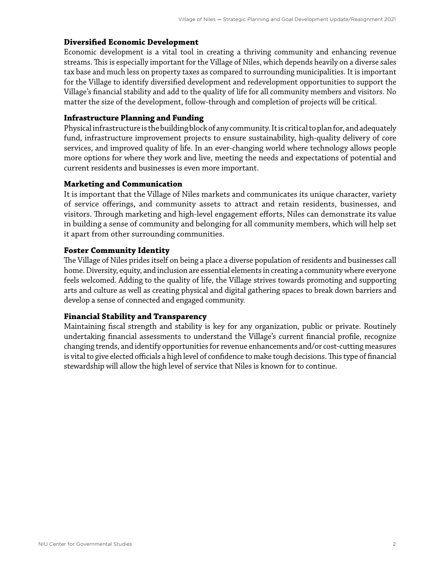#### **Diversified Economic Development**

Economic development is a vital tool in creating a thriving community and enhancing revenue streams. This is especially important for the Village of Niles, which depends heavily on a diverse sales tax base and much less on property taxes as compared to surrounding municipalities. It is important for the Village to identify diversified development and redevelopment opportunities to support the Village's financial stability and add to the quality of life for all community members and visitors. No matter the size of the development, follow-through and completion of projects will be critical.

#### **Infrastructure Planning and Funding**

Physical infrastructure is the building block of any community. It is critical to plan for, and adequately fund, infrastructure improvement projects to ensure sustainability, high-quality delivery of core services, and improved quality of life. In an ever-changing world where technology allows people more options for where they work and live, meeting the needs and expectations of potential and current residents and businesses is even more important.

#### **Marketing and Communication**

It is important that the Village of Niles markets and communicates its unique character, variety of service offerings, and community assets to attract and retain residents, businesses, and visitors. Through marketing and high-level engagement efforts, Niles can demonstrate its value in building a sense of community and belonging for all community members, which will help set it apart from other surrounding communities.

#### **Foster Community Identity**

The Village of Niles prides itself on being a place a diverse population of residents and businesses call home. Diversity, equity, and inclusion are essential elements in creating a community where everyone feels welcomed. Adding to the quality of life, the Village strives towards promoting and supporting arts and culture as well as creating physical and digital gathering spaces to break down barriers and develop a sense of connected and engaged community.

#### **Financial Stability and Transparency**

Maintaining fiscal strength and stability is key for any organization, public or private. Routinely undertaking financial assessments to understand the Village's current financial profile, recognize changing trends, and identify opportunities for revenue enhancements and/or cost-cutting measures is vital to give elected officials a high level of confidence to make tough decisions. This type of financial stewardship will allow the high level of service that Niles is known for to continue.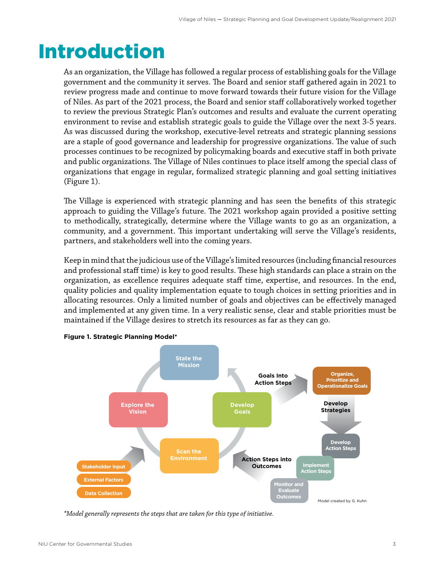# <span id="page-4-0"></span>Introduction

As an organization, the Village has followed a regular process of establishing goals for the Village government and the community it serves. The Board and senior staff gathered again in 2021 to review progress made and continue to move forward towards their future vision for the Village of Niles. As part of the 2021 process, the Board and senior staff collaboratively worked together to review the previous Strategic Plan's outcomes and results and evaluate the current operating environment to revise and establish strategic goals to guide the Village over the next 3-5 years. As was discussed during the workshop, executive-level retreats and strategic planning sessions are a staple of good governance and leadership for progressive organizations. The value of such processes continues to be recognized by policymaking boards and executive staff in both private and public organizations. The Village of Niles continues to place itself among the special class of organizations that engage in regular, formalized strategic planning and goal setting initiatives (Figure 1).

The Village is experienced with strategic planning and has seen the benefits of this strategic approach to guiding the Village's future. The 2021 workshop again provided a positive setting to methodically, strategically, determine where the Village wants to go as an organization, a community, and a government. This important undertaking will serve the Village's residents, partners, and stakeholders well into the coming years.

Keep in mind that the judicious use of the Village's limited resources (including financial resources and professional staff time) is key to good results. These high standards can place a strain on the organization, as excellence requires adequate staff time, expertise, and resources. In the end, quality policies and quality implementation equate to tough choices in setting priorities and in allocating resources. Only a limited number of goals and objectives can be effectively managed and implemented at any given time. In a very realistic sense, clear and stable priorities must be maintained if the Village desires to stretch its resources as far as they can go.



**Figure 1. Strategic Planning Model\***

*Model generally represents the steps the are taken for this type of initiative. \*Model generally represents the steps that are taken for this type of initiative.*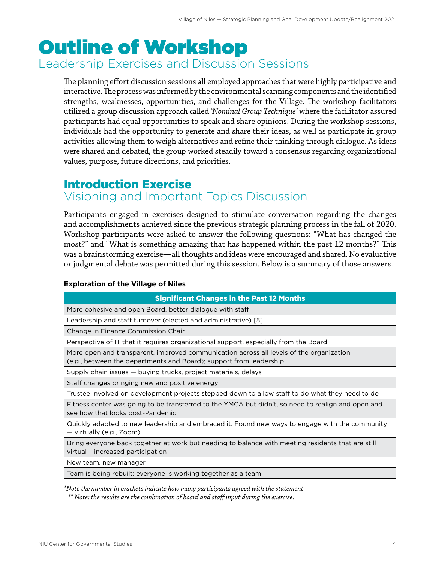# <span id="page-5-0"></span>Outline of Workshop Leadership Exercises and Discussion Sessions

The planning effort discussion sessions all employed approaches that were highly participative and interactive. The process was informed by the environmental scanning components and the identified strengths, weaknesses, opportunities, and challenges for the Village. The workshop facilitators utilized a group discussion approach called *'Nominal Group Technique'* where the facilitator assured participants had equal opportunities to speak and share opinions. During the workshop sessions, individuals had the opportunity to generate and share their ideas, as well as participate in group activities allowing them to weigh alternatives and refine their thinking through dialogue. As ideas were shared and debated, the group worked steadily toward a consensus regarding organizational values, purpose, future directions, and priorities.

## Introduction Exercise

### Visioning and Important Topics Discussion

Participants engaged in exercises designed to stimulate conversation regarding the changes and accomplishments achieved since the previous strategic planning process in the fall of 2020. Workshop participants were asked to answer the following questions: "What has changed the most?" and "What is something amazing that has happened within the past 12 months?" This was a brainstorming exercise—all thoughts and ideas were encouraged and shared. No evaluative or judgmental debate was permitted during this session. Below is a summary of those answers.

#### **Exploration of the Village of Niles**

| <b>Significant Changes in the Past 12 Months</b>                                                                                                              |
|---------------------------------------------------------------------------------------------------------------------------------------------------------------|
| More cohesive and open Board, better dialogue with staff                                                                                                      |
| Leadership and staff turnover (elected and administrative) [5]                                                                                                |
| Change in Finance Commission Chair                                                                                                                            |
| Perspective of IT that it requires organizational support, especially from the Board                                                                          |
| More open and transparent, improved communication across all levels of the organization<br>(e.g., between the departments and Board); support from leadership |
| Supply chain issues - buying trucks, project materials, delays                                                                                                |
| Staff changes bringing new and positive energy                                                                                                                |
| Trustee involved on development projects stepped down to allow staff to do what they need to do                                                               |
| Fitness center was going to be transferred to the YMCA but didn't, so need to realign and open and<br>see how that looks post-Pandemic                        |
| Quickly adapted to new leadership and embraced it. Found new ways to engage with the community<br>— virtually (e.g., Zoom)                                    |
| Bring everyone back together at work but needing to balance with meeting residents that are still<br>virtual - increased participation                        |
| New team, new manager                                                                                                                                         |
| Team is being rebuilt; everyone is working together as a team                                                                                                 |
| $^*$ Note the number in brackets indicate how many participants agreed with the statement $\,$                                                                |

 *\*\* Note: the results are the combination of board and staff input during the exercise.*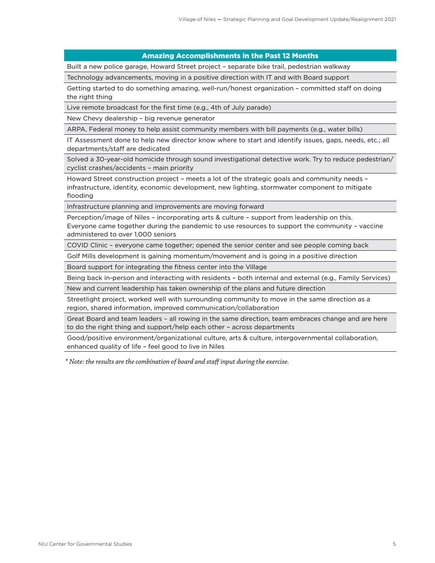#### Amazing Accomplishments in the Past 12 Months

Built a new police garage, Howard Street project – separate bike trail, pedestrian walkway

Technology advancements, moving in a positive direction with IT and with Board support

Getting started to do something amazing, well-run/honest organization – committed staff on doing the right thing

Live remote broadcast for the first time (e.g., 4th of July parade)

New Chevy dealership – big revenue generator

ARPA, Federal money to help assist community members with bill payments (e.g., water bills)

IT Assessment done to help new director know where to start and identify issues, gaps, needs, etc.; all departments/staff are dedicated

Solved a 30-year-old homicide through sound investigational detective work. Try to reduce pedestrian/ cyclist crashes/accidents – main priority

Howard Street construction project – meets a lot of the strategic goals and community needs – infrastructure, identity, economic development, new lighting, stormwater component to mitigate flooding

Infrastructure planning and improvements are moving forward

Perception/image of Niles – incorporating arts & culture – support from leadership on this. Everyone came together during the pandemic to use resources to support the community – vaccine administered to over 1,000 seniors

COVID Clinic – everyone came together; opened the senior center and see people coming back

Golf Mills development is gaining momentum/movement and is going in a positive direction

Board support for integrating the fitness center into the Village

Being back in-person and interacting with residents – both internal and external (e.g., Family Services)

New and current leadership has taken ownership of the plans and future direction

Streetlight project, worked well with surrounding community to move in the same direction as a region, shared information, improved communication/collaboration

Great Board and team leaders – all rowing in the same direction, team embraces change and are here to do the right thing and support/help each other – across departments

Good/positive environment/organizational culture, arts & culture, intergovernmental collaboration, enhanced quality of life – feel good to live in Niles

 *\* Note: the results are the combination of board and staff input during the exercise.*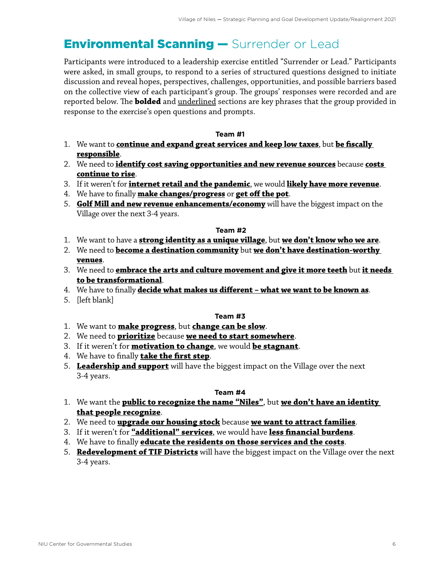## <span id="page-7-0"></span>**Environmental Scanning - Surrender or Lead**

Participants were introduced to a leadership exercise entitled "Surrender or Lead." Participants were asked, in small groups, to respond to a series of structured questions designed to initiate discussion and reveal hopes, perspectives, challenges, opportunities, and possible barriers based on the collective view of each participant's group. The groups' responses were recorded and are reported below. The **bolded** and underlined sections are key phrases that the group provided in response to the exercise's open questions and prompts.

#### **Team #1**

- 1. We want to **continue and expand great services and keep low taxes**, but **be fiscally responsible**.
- 2. We need to **identify cost saving opportunities and new revenue sources** because **costs continue to rise**.
- 3. If it weren't for **internet retail and the pandemic**, we would **likely have more revenue**.
- 4. We have to finally **make changes/progress** or **get off the pot**.
- 5. **Golf Mill and new revenue enhancements/economy** will have the biggest impact on the Village over the next 3-4 years.

#### **Team #2**

- 1. We want to have a **strong identity as a unique village**, but **we don't know who we are**.
- 2. We need to **become a destination community** but **we don't have destination-worthy venues**.
- 3. We need to **embrace the arts and culture movement and give it more teeth** but **it needs to be transformational**.
- 4. We have to finally **decide what makes us different what we want to be known as**.
- 5. [left blank]

#### **Team #3**

- 1. We want to **make progress**, but **change can be slow**.
- 2. We need to **prioritize** because **we need to start somewhere**.
- 3. If it weren't for **motivation to change**, we would **be stagnant**.
- 4. We have to finally **take the first step**.
- 5. **Leadership and support** will have the biggest impact on the Village over the next 3-4 years.

#### **Team #4**

- 1. We want the **public to recognize the name "Niles"**, but **we don't have an identity that people recognize**.
- 2. We need to **upgrade our housing stock** because **we want to attract families**.
- 3. If it weren't for **"additional" services**, we would have **less financial burdens**.
- 4. We have to finally **educate the residents on those services and the costs**.
- 5. **Redevelopment of TIF Districts** will have the biggest impact on the Village over the next 3-4 years.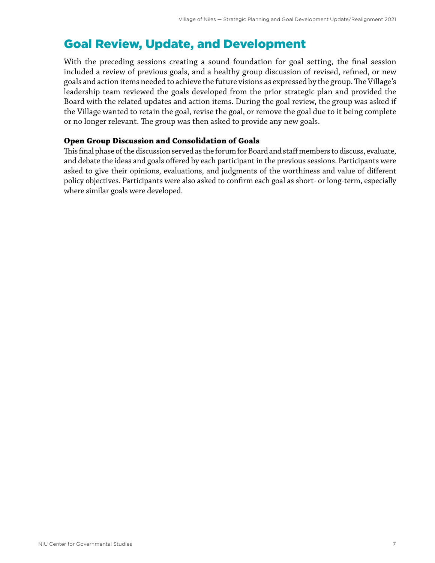## <span id="page-8-0"></span>Goal Review, Update, and Development

With the preceding sessions creating a sound foundation for goal setting, the final session included a review of previous goals, and a healthy group discussion of revised, refined, or new goals and action items needed to achieve the future visions as expressed by the group. The Village's leadership team reviewed the goals developed from the prior strategic plan and provided the Board with the related updates and action items. During the goal review, the group was asked if the Village wanted to retain the goal, revise the goal, or remove the goal due to it being complete or no longer relevant. The group was then asked to provide any new goals.

#### **Open Group Discussion and Consolidation of Goals**

This final phase of the discussion served as the forum for Board and staff members to discuss, evaluate, and debate the ideas and goals offered by each participant in the previous sessions. Participants were asked to give their opinions, evaluations, and judgments of the worthiness and value of different policy objectives. Participants were also asked to confirm each goal as short- or long-term, especially where similar goals were developed.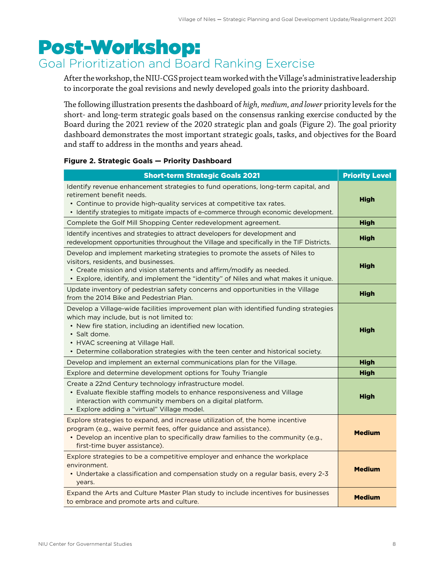# <span id="page-9-0"></span>Post-Workshop:

## Goal Prioritization and Board Ranking Exercise

After the workshop, the NIU-CGS project team worked with the Village's administrative leadership to incorporate the goal revisions and newly developed goals into the priority dashboard.

The following illustration presents the dashboard of *high, medium, and lower* priority levels for the short- and long-term strategic goals based on the consensus ranking exercise conducted by the Board during the 2021 review of the 2020 strategic plan and goals (Figure 2). The goal priority dashboard demonstrates the most important strategic goals, tasks, and objectives for the Board and staff to address in the months and years ahead.

#### **Figure 2. Strategic Goals — Priority Dashboard**

| <b>Short-term Strategic Goals 2021</b>                                                                                                                                                                                                                                                                                                  | <b>Priority Level</b> |
|-----------------------------------------------------------------------------------------------------------------------------------------------------------------------------------------------------------------------------------------------------------------------------------------------------------------------------------------|-----------------------|
| Identify revenue enhancement strategies to fund operations, long-term capital, and<br>retirement benefit needs.<br>• Continue to provide high-quality services at competitive tax rates.<br>• Identify strategies to mitigate impacts of e-commerce through economic development.                                                       | <b>High</b>           |
| Complete the Golf Mill Shopping Center redevelopment agreement.                                                                                                                                                                                                                                                                         | <b>High</b>           |
| Identify incentives and strategies to attract developers for development and<br>redevelopment opportunities throughout the Village and specifically in the TIF Districts.                                                                                                                                                               | <b>High</b>           |
| Develop and implement marketing strategies to promote the assets of Niles to<br>visitors, residents, and businesses.<br>• Create mission and vision statements and affirm/modify as needed.<br>Explore, identify, and implement the "identity" of Niles and what makes it unique.                                                       | <b>High</b>           |
| Update inventory of pedestrian safety concerns and opportunities in the Village<br>from the 2014 Bike and Pedestrian Plan.                                                                                                                                                                                                              | <b>High</b>           |
| Develop a Village-wide facilities improvement plan with identified funding strategies<br>which may include, but is not limited to:<br>• New fire station, including an identified new location.<br>· Salt dome.<br>HVAC screening at Village Hall.<br>• Determine collaboration strategies with the teen center and historical society. | <b>High</b>           |
| Develop and implement an external communications plan for the Village.                                                                                                                                                                                                                                                                  | <b>High</b>           |
| Explore and determine development options for Touhy Triangle                                                                                                                                                                                                                                                                            | <b>High</b>           |
| Create a 22nd Century technology infrastructure model.<br>• Evaluate flexible staffing models to enhance responsiveness and Village<br>interaction with community members on a digital platform.<br>• Explore adding a "virtual" Village model.                                                                                         | <b>High</b>           |
| Explore strategies to expand, and increase utilization of, the home incentive<br>program (e.g., waive permit fees, offer guidance and assistance).<br>• Develop an incentive plan to specifically draw families to the community (e.g.,<br>first-time buyer assistance).                                                                | <b>Medium</b>         |
| Explore strategies to be a competitive employer and enhance the workplace<br>environment.<br>• Undertake a classification and compensation study on a regular basis, every 2-3<br>years.                                                                                                                                                | <b>Medium</b>         |
| Expand the Arts and Culture Master Plan study to include incentives for businesses<br>to embrace and promote arts and culture.                                                                                                                                                                                                          | <b>Medium</b>         |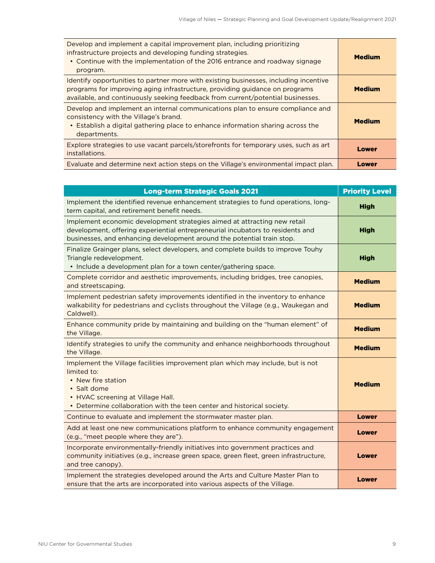| Develop and implement a capital improvement plan, including prioritizing<br>infrastructure projects and developing funding strategies.<br>• Continue with the implementation of the 2016 entrance and roadway signage<br>program.                      | <b>Medium</b> |
|--------------------------------------------------------------------------------------------------------------------------------------------------------------------------------------------------------------------------------------------------------|---------------|
| Identify opportunities to partner more with existing businesses, including incentive<br>programs for improving aging infrastructure, providing guidance on programs<br>available, and continuously seeking feedback from current/potential businesses. | <b>Medium</b> |
| Develop and implement an internal communications plan to ensure compliance and<br>consistency with the Village's brand.<br>• Establish a digital gathering place to enhance information sharing across the<br>departments.                             | <b>Medium</b> |
| Explore strategies to use vacant parcels/storefronts for temporary uses, such as art<br>installations.                                                                                                                                                 | Lower         |
| Evaluate and determine next action steps on the Village's environmental impact plan.                                                                                                                                                                   | Lower         |

| <b>Long-term Strategic Goals 2021</b>                                                                                                                                                                                                              | <b>Priority Level</b> |
|----------------------------------------------------------------------------------------------------------------------------------------------------------------------------------------------------------------------------------------------------|-----------------------|
| Implement the identified revenue enhancement strategies to fund operations, long-<br>term capital, and retirement benefit needs.                                                                                                                   | <b>High</b>           |
| Implement economic development strategies aimed at attracting new retail<br>development, offering experiential entrepreneurial incubators to residents and<br>businesses, and enhancing development around the potential train stop.               | <b>High</b>           |
| Finalize Grainger plans, select developers, and complete builds to improve Touhy<br>Triangle redevelopment.<br>· Include a development plan for a town center/gathering space.                                                                     | <b>High</b>           |
| Complete corridor and aesthetic improvements, including bridges, tree canopies,<br>and streetscaping.                                                                                                                                              | <b>Medium</b>         |
| Implement pedestrian safety improvements identified in the inventory to enhance<br>walkability for pedestrians and cyclists throughout the Village (e.g., Waukegan and<br>Caldwell).                                                               | <b>Medium</b>         |
| Enhance community pride by maintaining and building on the "human element" of<br>the Village.                                                                                                                                                      | <b>Medium</b>         |
| Identify strategies to unify the community and enhance neighborhoods throughout<br>the Village.                                                                                                                                                    | <b>Medium</b>         |
| Implement the Village facilities improvement plan which may include, but is not<br>limited to:<br>• New fire station<br>• Salt dome<br>• HVAC screening at Village Hall.<br>• Determine collaboration with the teen center and historical society. | <b>Medium</b>         |
| Continue to evaluate and implement the stormwater master plan.                                                                                                                                                                                     | <b>Lower</b>          |
| Add at least one new communications platform to enhance community engagement<br>(e.g., "meet people where they are").                                                                                                                              | Lower                 |
| Incorporate environmentally-friendly initiatives into government practices and<br>community initiatives (e.g., increase green space, green fleet, green infrastructure,<br>and tree canopy).                                                       | Lower                 |
| Implement the strategies developed around the Arts and Culture Master Plan to<br>ensure that the arts are incorporated into various aspects of the Village.                                                                                        | <b>Lower</b>          |